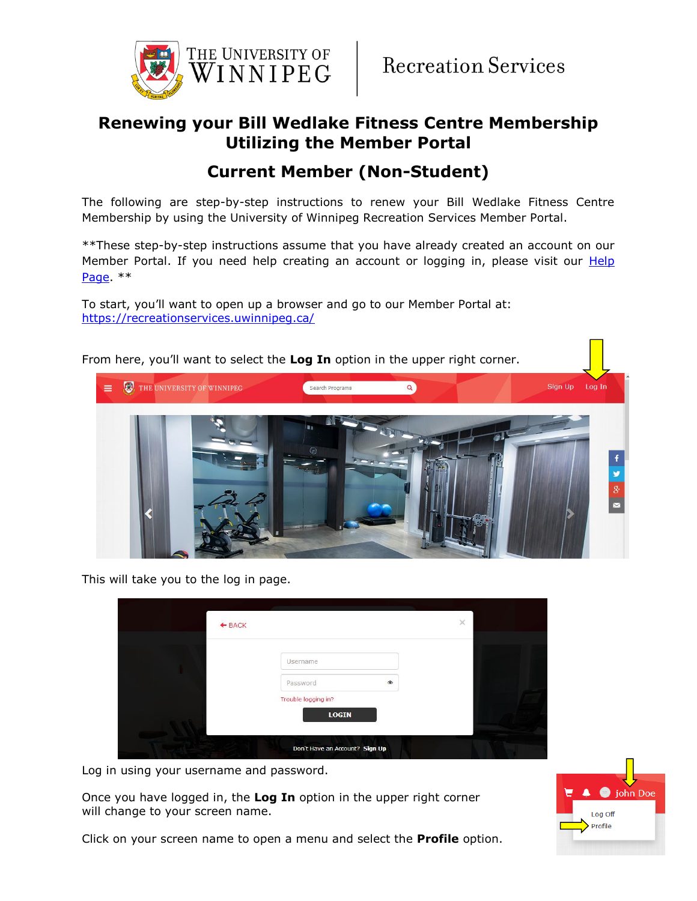

## **Renewing your Bill Wedlake Fitness Centre Membership Utilizing the Member Portal**

## **Current Member (Non-Student)**

The following are step-by-step instructions to renew your Bill Wedlake Fitness Centre Membership by using the University of Winnipeg Recreation Services Member Portal.

\*\*These step-by-step instructions assume that you have already created an account on our Member Portal. If you need help creating an account or logging in, please visit our **Help** [Page.](https://www.uwinnipeg.ca/recreation-services/help.html) \*\*

To start, you'll want to open up a browser and go to our Member Portal at: <https://recreationservices.uwinnipeg.ca/>



This will take you to the log in page.

| $+$ BACK |                                     |            | $\times$ |  |
|----------|-------------------------------------|------------|----------|--|
|          |                                     |            |          |  |
|          | Username                            |            |          |  |
|          | Password                            | $^{\circ}$ |          |  |
|          | Trouble logging in?<br><b>LOGIN</b> |            |          |  |
|          | Don't Have an Account? Sign Up      |            |          |  |

Log in using your username and password.

Once you have logged in, the **Log In** option in the upper right corner will change to your screen name.

Click on your screen name to open a menu and select the **Profile** option.

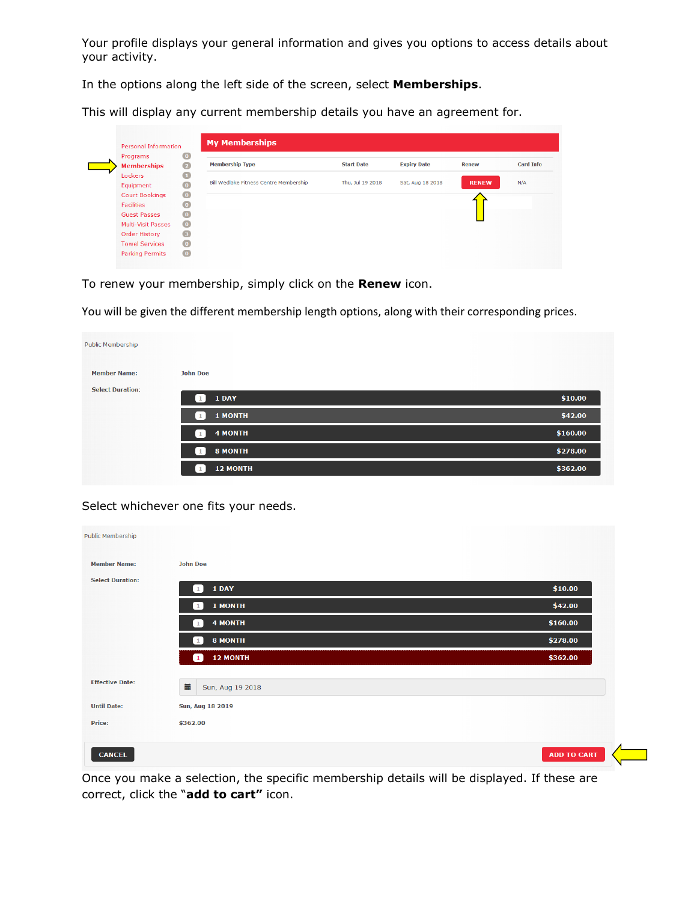Your profile displays your general information and gives you options to access details about your activity.

In the options along the left side of the screen, select **Memberships**.

This will display any current membership details you have an agreement for.

| Personal Information           |                                  | <b>My Memberships</b>                  |                   |                    |              |                  |
|--------------------------------|----------------------------------|----------------------------------------|-------------------|--------------------|--------------|------------------|
| Programs<br><b>Memberships</b> | $\overline{0}$<br>$\overline{2}$ | <b>Membership Type</b>                 | <b>Start Date</b> | <b>Expiry Date</b> | Renew        | <b>Card Info</b> |
| Lockers                        | $\mathbf \Omega$                 |                                        |                   |                    |              |                  |
| Equipment                      | $\circ$                          | Bill Wedlake Fitness Centre Membership | Thu, Jul 19 2018  | Sat, Aug 18 2018   | <b>RENEW</b> | N/A              |
| <b>Court Bookings</b>          | $\bullet$                        |                                        |                   |                    |              |                  |
| <b>Facilities</b>              | $\bullet$                        |                                        |                   |                    |              |                  |
| <b>Guest Passes</b>            | $\bullet$                        |                                        |                   |                    |              |                  |
| <b>Multi-Visit Passes</b>      | $\bullet$                        |                                        |                   |                    |              |                  |
| <b>Order History</b>           | $\left(3\right)$                 |                                        |                   |                    |              |                  |
| <b>Towel Services</b>          | $\bullet$                        |                                        |                   |                    |              |                  |
| <b>Parking Permits</b>         | $\bullet$                        |                                        |                   |                    |              |                  |

To renew your membership, simply click on the **Renew** icon.

You will be given the different membership length options, along with their corresponding prices.

| <b>Public Membership</b> |                                 |          |
|--------------------------|---------------------------------|----------|
| <b>Member Name:</b>      | <b>John Doe</b>                 |          |
| <b>Select Duration:</b>  | 1 DAY<br>1                      | \$10.00  |
|                          | <b>1 MONTH</b><br>1             | \$42.00  |
|                          | <b>4 MONTH</b><br>$\mathbf{1}$  | \$160.00 |
|                          | 8 MONTH<br>$\mathbf{1}$         | \$278.00 |
|                          | <b>12 MONTH</b><br>$\mathbf{1}$ | \$362.00 |

Select whichever one fits your needs.

| Public Membership       |                                |          |
|-------------------------|--------------------------------|----------|
| <b>Member Name:</b>     | <b>John Doe</b>                |          |
| <b>Select Duration:</b> | 1 DAY<br>$\mathbf{1}$          | \$10.00  |
|                         | 1 MONTH<br>$\mathbf{1}$        | \$42.00  |
|                         | <b>4 MONTH</b><br>$\mathbf{1}$ | \$160.00 |
|                         | <b>8 MONTH</b><br>$\mathbf{1}$ | \$278.00 |
|                         | <b>12 MONTH</b><br>п           | \$362.00 |
| <b>Effective Date:</b>  | 量<br>Sun, Aug 19 2018          |          |
| <b>Until Date:</b>      | Sun, Aug 18 2019               |          |
| Price:                  | \$362.00                       |          |

Once you make a selection, the specific membership details will be displayed. If these are correct, click the "**add to cart"** icon.